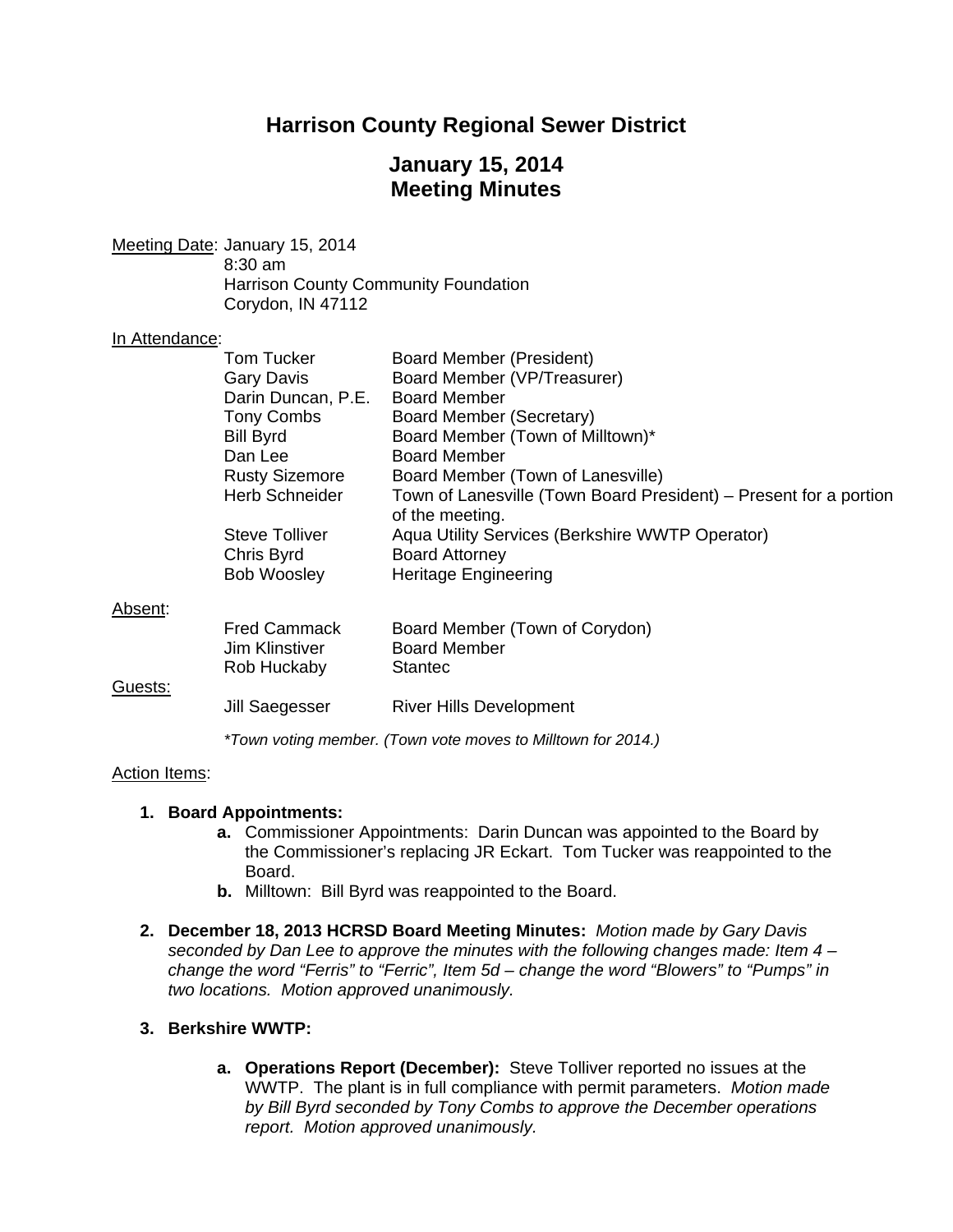# **Harrison County Regional Sewer District**

# **January 15, 2014 Meeting Minutes**

Meeting Date: January 15, 2014 8:30 am Harrison County Community Foundation Corydon, IN 47112

#### In Attendance:

|         | Tom Tucker                                                   | <b>Board Member (President)</b>                                                      |  |  |
|---------|--------------------------------------------------------------|--------------------------------------------------------------------------------------|--|--|
|         | <b>Gary Davis</b>                                            | Board Member (VP/Treasurer)                                                          |  |  |
|         | Darin Duncan, P.E.                                           | <b>Board Member</b>                                                                  |  |  |
|         | Tony Combs                                                   | Board Member (Secretary)                                                             |  |  |
|         | <b>Bill Byrd</b>                                             | Board Member (Town of Milltown)*                                                     |  |  |
|         | Dan Lee                                                      | <b>Board Member</b>                                                                  |  |  |
|         | <b>Rusty Sizemore</b>                                        | Board Member (Town of Lanesville)                                                    |  |  |
|         | Herb Schneider                                               | Town of Lanesville (Town Board President) – Present for a portion<br>of the meeting. |  |  |
|         | Steve Tolliver                                               | Aqua Utility Services (Berkshire WWTP Operator)                                      |  |  |
|         | Chris Byrd                                                   | <b>Board Attorney</b>                                                                |  |  |
|         | <b>Bob Woosley</b>                                           | Heritage Engineering                                                                 |  |  |
| Absent: |                                                              |                                                                                      |  |  |
|         | <b>Fred Cammack</b><br>Jim Klinstiver<br>Rob Huckaby         | Board Member (Town of Corydon)<br><b>Board Member</b><br><b>Stantec</b>              |  |  |
| Guests: |                                                              |                                                                                      |  |  |
|         | Jill Saegesser                                               | <b>River Hills Development</b>                                                       |  |  |
|         | *Town voting member. (Town vote moves to Milltown for 2014.) |                                                                                      |  |  |

#### Action Items:

## **1. Board Appointments:**

- **a.** Commissioner Appointments: Darin Duncan was appointed to the Board by the Commissioner's replacing JR Eckart. Tom Tucker was reappointed to the Board.
- **b.** Milltown: Bill Byrd was reappointed to the Board.
- **2. December 18, 2013 HCRSD Board Meeting Minutes:** *Motion made by Gary Davis seconded by Dan Lee to approve the minutes with the following changes made: Item 4 – change the word "Ferris" to "Ferric", Item 5d – change the word "Blowers" to "Pumps" in two locations. Motion approved unanimously.*

## **3. Berkshire WWTP:**

**a. Operations Report (December):** Steve Tolliver reported no issues at the WWTP. The plant is in full compliance with permit parameters. *Motion made by Bill Byrd seconded by Tony Combs to approve the December operations report. Motion approved unanimously.*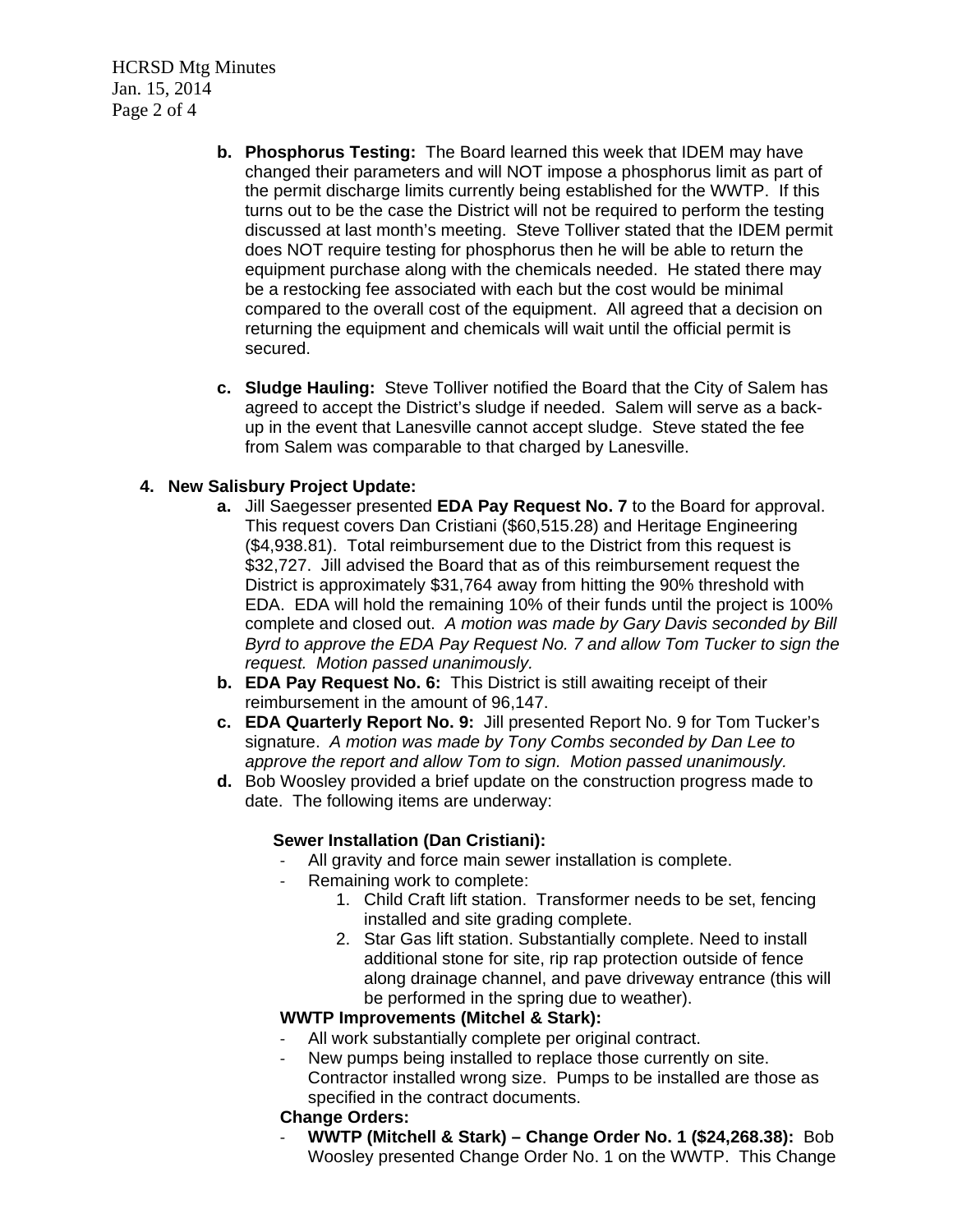HCRSD Mtg Minutes Jan. 15, 2014 Page 2 of 4

- **b. Phosphorus Testing:** The Board learned this week that IDEM may have changed their parameters and will NOT impose a phosphorus limit as part of the permit discharge limits currently being established for the WWTP. If this turns out to be the case the District will not be required to perform the testing discussed at last month's meeting. Steve Tolliver stated that the IDEM permit does NOT require testing for phosphorus then he will be able to return the equipment purchase along with the chemicals needed. He stated there may be a restocking fee associated with each but the cost would be minimal compared to the overall cost of the equipment. All agreed that a decision on returning the equipment and chemicals will wait until the official permit is secured.
- **c. Sludge Hauling:** Steve Tolliver notified the Board that the City of Salem has agreed to accept the District's sludge if needed. Salem will serve as a backup in the event that Lanesville cannot accept sludge. Steve stated the fee from Salem was comparable to that charged by Lanesville.

### **4. New Salisbury Project Update:**

- **a.** Jill Saegesser presented **EDA Pay Request No. 7** to the Board for approval. This request covers Dan Cristiani (\$60,515.28) and Heritage Engineering (\$4,938.81). Total reimbursement due to the District from this request is \$32,727. Jill advised the Board that as of this reimbursement request the District is approximately \$31,764 away from hitting the 90% threshold with EDA. EDA will hold the remaining 10% of their funds until the project is 100% complete and closed out. *A motion was made by Gary Davis seconded by Bill Byrd to approve the EDA Pay Request No. 7 and allow Tom Tucker to sign the request. Motion passed unanimously.*
- **b. EDA Pay Request No. 6:** This District is still awaiting receipt of their reimbursement in the amount of 96,147.
- **c. EDA Quarterly Report No. 9:** Jill presented Report No. 9 for Tom Tucker's signature. *A motion was made by Tony Combs seconded by Dan Lee to approve the report and allow Tom to sign. Motion passed unanimously.*
- **d.** Bob Woosley provided a brief update on the construction progress made to date. The following items are underway:

#### **Sewer Installation (Dan Cristiani):**

- All gravity and force main sewer installation is complete.
- ‐ Remaining work to complete:
	- 1. Child Craft lift station. Transformer needs to be set, fencing installed and site grading complete.
	- 2. Star Gas lift station. Substantially complete. Need to install additional stone for site, rip rap protection outside of fence along drainage channel, and pave driveway entrance (this will be performed in the spring due to weather).

#### **WWTP Improvements (Mitchel & Stark):**

- All work substantially complete per original contract.
- New pumps being installed to replace those currently on site. Contractor installed wrong size. Pumps to be installed are those as specified in the contract documents.

#### **Change Orders:**

‐ **WWTP (Mitchell & Stark) – Change Order No. 1 (\$24,268.38):** Bob Woosley presented Change Order No. 1 on the WWTP. This Change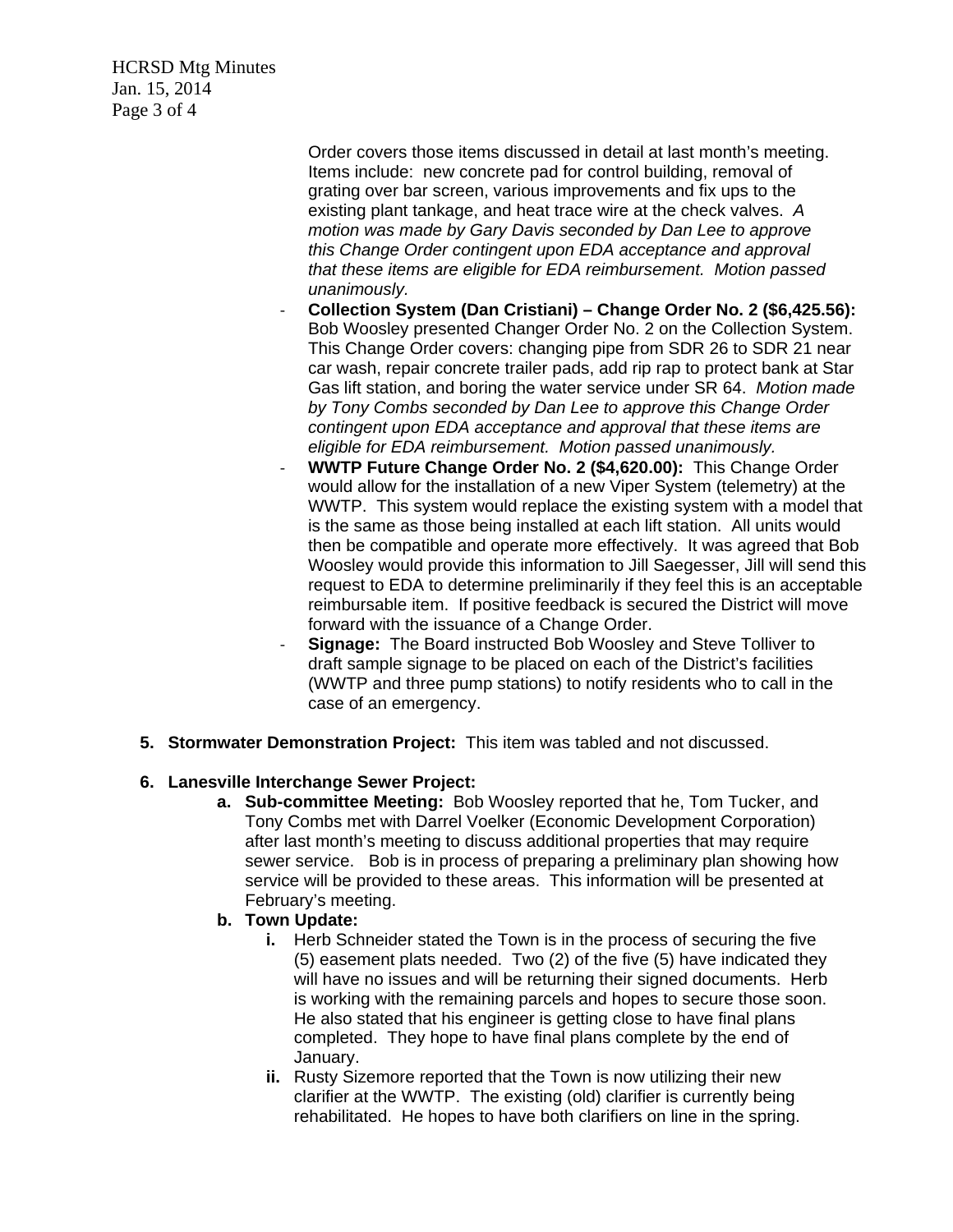HCRSD Mtg Minutes Jan. 15, 2014 Page 3 of 4

> Order covers those items discussed in detail at last month's meeting. Items include: new concrete pad for control building, removal of grating over bar screen, various improvements and fix ups to the existing plant tankage, and heat trace wire at the check valves. *A motion was made by Gary Davis seconded by Dan Lee to approve this Change Order contingent upon EDA acceptance and approval that these items are eligible for EDA reimbursement. Motion passed unanimously.*

- ‐ **Collection System (Dan Cristiani) Change Order No. 2 (\$6,425.56):** Bob Woosley presented Changer Order No. 2 on the Collection System. This Change Order covers: changing pipe from SDR 26 to SDR 21 near car wash, repair concrete trailer pads, add rip rap to protect bank at Star Gas lift station, and boring the water service under SR 64. *Motion made by Tony Combs seconded by Dan Lee to approve this Change Order contingent upon EDA acceptance and approval that these items are eligible for EDA reimbursement. Motion passed unanimously.*
- ‐ **WWTP Future Change Order No. 2 (\$4,620.00):** This Change Order would allow for the installation of a new Viper System (telemetry) at the WWTP. This system would replace the existing system with a model that is the same as those being installed at each lift station. All units would then be compatible and operate more effectively. It was agreed that Bob Woosley would provide this information to Jill Saegesser, Jill will send this request to EDA to determine preliminarily if they feel this is an acceptable reimbursable item. If positive feedback is secured the District will move forward with the issuance of a Change Order.
- **Signage:** The Board instructed Bob Woosley and Steve Tolliver to draft sample signage to be placed on each of the District's facilities (WWTP and three pump stations) to notify residents who to call in the case of an emergency.
- **5. Stormwater Demonstration Project:**This item was tabled and not discussed.

# **6. Lanesville Interchange Sewer Project:**

**a. Sub-committee Meeting:** Bob Woosley reported that he, Tom Tucker, and Tony Combs met with Darrel Voelker (Economic Development Corporation) after last month's meeting to discuss additional properties that may require sewer service. Bob is in process of preparing a preliminary plan showing how service will be provided to these areas. This information will be presented at February's meeting.

## **b. Town Update:**

- **i.** Herb Schneider stated the Town is in the process of securing the five (5) easement plats needed. Two (2) of the five (5) have indicated they will have no issues and will be returning their signed documents. Herb is working with the remaining parcels and hopes to secure those soon. He also stated that his engineer is getting close to have final plans completed. They hope to have final plans complete by the end of January.
- **ii.** Rusty Sizemore reported that the Town is now utilizing their new clarifier at the WWTP. The existing (old) clarifier is currently being rehabilitated. He hopes to have both clarifiers on line in the spring.